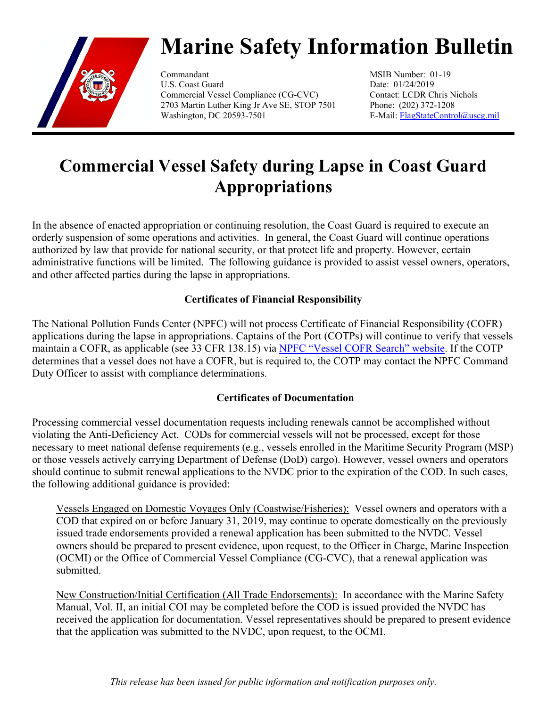

# **Marine Safety Information Bulletin**

Commandant MSIB Number: 01-19 U.S. Coast Guard Date: 01/24/2019 Commercial Vessel Compliance (CG-CVC) Contact: LCDR Chris Nichols 2703 Martin Luther King Jr Ave SE, STOP 7501 Phone: (202) 372-1208 Washington, DC 20593-7501 E-Mail: [FlagStateControl@uscg.mil](mailto:FlagStateControl@uscg.mil)

## **Commercial Vessel Safety during Lapse in Coast Guard Appropriations**

In the absence of enacted appropriation or continuing resolution, the Coast Guard is required to execute an orderly suspension of some operations and activities. In general, the Coast Guard will continue operations authorized by law that provide for national security, or that protect life and property. However, certain administrative functions will be limited. The following guidance is provided to assist vessel owners, operators, and other affected parties during the lapse in appropriations.

### **Certificates of Financial Responsibility**

The National Pollution Funds Center (NPFC) will not process Certificate of Financial Responsibility (COFR) applications during the lapse in appropriations. Captains of the Port (COTPs) will continue to verify that vessels maintain a COFR, as applicable (see 33 CFR 138.15) via [NPFC "Vessel COFR Search" website.](https://publicsearch.npfc.uscg.mil/COFR/DefaultBanner.aspx) If the COTP determines that a vessel does not have a COFR, but is required to, the COTP may contact the NPFC Command Duty Officer to assist with compliance determinations.

### **Certificates of Documentation**

Processing commercial vessel documentation requests including renewals cannot be accomplished without violating the Anti-Deficiency Act. CODs for commercial vessels will not be processed, except for those necessary to meet national defense requirements (e.g., vessels enrolled in the Maritime Security Program (MSP) or those vessels actively carrying Department of Defense (DoD) cargo). However, vessel owners and operators should continue to submit renewal applications to the NVDC prior to the expiration of the COD. In such cases, the following additional guidance is provided:

Vessels Engaged on Domestic Voyages Only (Coastwise/Fisheries):Vessel owners and operators with a COD that expired on or before January 31, 2019, may continue to operate domestically on the previously issued trade endorsements provided a renewal application has been submitted to the NVDC. Vessel owners should be prepared to present evidence, upon request, to the Officer in Charge, Marine Inspection (OCMI) or the Office of Commercial Vessel Compliance (CG-CVC), that a renewal application was submitted.

New Construction/Initial Certification (All Trade Endorsements):In accordance with the Marine Safety Manual, Vol. II, an initial COI may be completed before the COD is issued provided the NVDC has received the application for documentation. Vessel representatives should be prepared to present evidence that the application was submitted to the NVDC, upon request, to the OCMI.